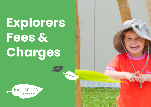**Explorers Fees & Charges**

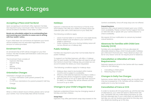# Fees & Charges

### **Accepting a Place and Fee Bond**

Upon accepting an enrolment offer, Explorers' families are required to pay a bond per child. The bond amount will be emailed to families in their letter of offer.

#### **Bonds are refundable subject to no outstanding fees and receiving your intention to cease care in writing with four weeks' notice.**

If your child does not commence at Explorers your bond will be forfeited and not refunded regardless of the amount of notice provided.

## **Enrolment Fee**

An enrolment fee of \$75 will be charged on your first invoice. This fee includes administration costs and your enrolment pack.

The Enrolment Pack consists of:

- Explorers Wet Bag
- Hessian Bag
- Hat
- Beanie
- Belonging Bag

# **Orientation Charges**

Orientation charges are as below:

- 1 x 1 hour orientation (with parent present): No Charae
- 2 x 3.5 hour orientations (no parent present): Half Day Charge

# **Sick Days**

When a child is absent due to illness, please call or email your Centre. Your nomal daily fees will be invoiced.

## **Holidays**

Explorers understands the importance of family time and holidays. We offer four weeks of holiday leave per calendar year with a 50% discount of your daily fee.

The following conditions apply:

- Leave must be taken in a minimum one week blocks.
- Notice needs to be emailed to your centre four weeks in advance.
- Public holidays that occur during Holiday Leave will not be offered as a makeup day.

# **Public Holidays**

Families are required to pay their normal daily fees for public holidays.

To support our families Explorers, will offer a 'makeup day' for each public holiday. Families will need to email the Centre to book their makeup day, provided we can accommodate the dates you have requested.

The following conditions apply for makeup days:

- Makeup days need to be booked within twelve months and is subject to availability.
- 2. Where a child attends Explorers five days a week, a half daily fee will be charged for public holidays.
- 3. Where a family is not up to date with their account (in debt), no makeup day will be offered until the account is up to date.

# **Changes to your Child's Regular Days**

Explorers understand there may be changing needs of families and their children.

#### **Swap Days**

Explorers may offer permanent swap days based on the

Centre's availability. Once off swap days are not offered.

#### **Casual Sessions**

Explorers offer casual sessions based upon your child's room availability. Please contact Family Support Services on 1300 000 335 or speak with your Centre Director to check availability.

We require 24 hour notification to cancel any booked casual sessions.

## **Absences for Families with Child Care Subsidy (CCS)**

Families who are eligible for CCS are allocated 42 allowable absence days, which include public holidays, per child each financial year. These absence days can be for any reason and do not require proof of absence.

## **Cancellation or Alteration of Care Requirements**

Explorers require an email to the Centre with four weeks' notice for the following:

- 1. Cancelling a child's place
- 2. Reducing days of care

# **Changes in Daily Fee Charges**

Explorers review daily fee charges every six months. Fees may be increased by 3-5%. Families will be notified four weeks prior to any fee increase.

## **Cancellation of Care or CCS**

In order to receive all CCS payments up until the last day of attendance, your child will need to attend their last day. Centrelink will only make these payments up until the last attended day. If your child does not attend the last day, you will not receive payments for this day and any absences leading up to this day.